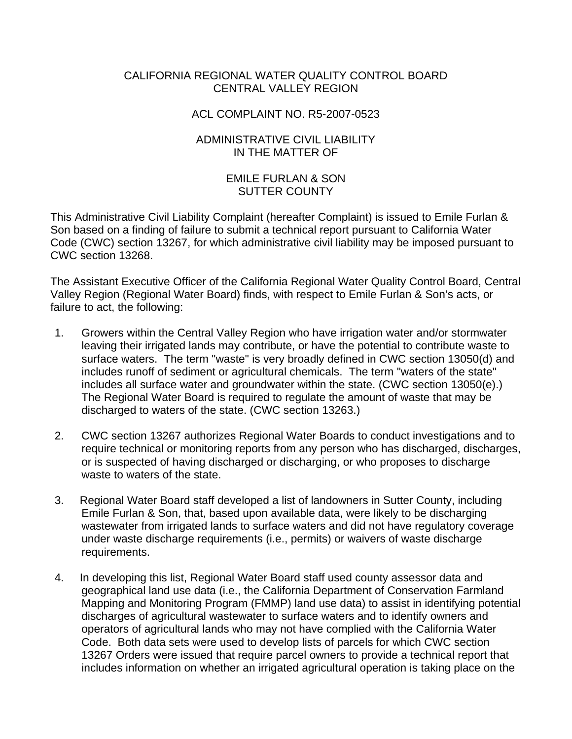## CALIFORNIA REGIONAL WATER QUALITY CONTROL BOARD CENTRAL VALLEY REGION

## ACL COMPLAINT NO. R5-2007-0523

## ADMINISTRATIVE CIVIL LIABILITY IN THE MATTER OF

## EMILE FURLAN & SON SUTTER COUNTY

This Administrative Civil Liability Complaint (hereafter Complaint) is issued to Emile Furlan & Son based on a finding of failure to submit a technical report pursuant to California Water Code (CWC) section 13267, for which administrative civil liability may be imposed pursuant to CWC section 13268.

The Assistant Executive Officer of the California Regional Water Quality Control Board, Central Valley Region (Regional Water Board) finds, with respect to Emile Furlan & Son's acts, or failure to act, the following:

- 1. Growers within the Central Valley Region who have irrigation water and/or stormwater leaving their irrigated lands may contribute, or have the potential to contribute waste to surface waters. The term "waste" is very broadly defined in CWC section 13050(d) and includes runoff of sediment or agricultural chemicals. The term "waters of the state" includes all surface water and groundwater within the state. (CWC section 13050(e).) The Regional Water Board is required to regulate the amount of waste that may be discharged to waters of the state. (CWC section 13263.)
- 2. CWC section 13267 authorizes Regional Water Boards to conduct investigations and to require technical or monitoring reports from any person who has discharged, discharges, or is suspected of having discharged or discharging, or who proposes to discharge waste to waters of the state.
- 3. Regional Water Board staff developed a list of landowners in Sutter County, including Emile Furlan & Son, that, based upon available data, were likely to be discharging wastewater from irrigated lands to surface waters and did not have regulatory coverage under waste discharge requirements (i.e., permits) or waivers of waste discharge requirements.
- 4. In developing this list, Regional Water Board staff used county assessor data and geographical land use data (i.e., the California Department of Conservation Farmland Mapping and Monitoring Program (FMMP) land use data) to assist in identifying potential discharges of agricultural wastewater to surface waters and to identify owners and operators of agricultural lands who may not have complied with the California Water Code. Both data sets were used to develop lists of parcels for which CWC section 13267 Orders were issued that require parcel owners to provide a technical report that includes information on whether an irrigated agricultural operation is taking place on the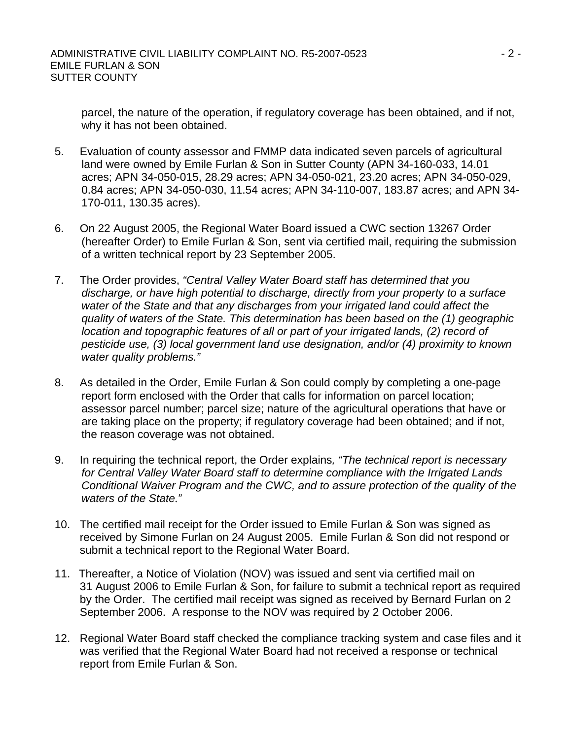parcel, the nature of the operation, if regulatory coverage has been obtained, and if not, why it has not been obtained.

- 5. Evaluation of county assessor and FMMP data indicated seven parcels of agricultural land were owned by Emile Furlan & Son in Sutter County (APN 34-160-033, 14.01 acres; APN 34-050-015, 28.29 acres; APN 34-050-021, 23.20 acres; APN 34-050-029, 0.84 acres; APN 34-050-030, 11.54 acres; APN 34-110-007, 183.87 acres; and APN 34- 170-011, 130.35 acres).
- 6. On 22 August 2005, the Regional Water Board issued a CWC section 13267 Order (hereafter Order) to Emile Furlan & Son, sent via certified mail, requiring the submission of a written technical report by 23 September 2005.
- 7. The Order provides, *"Central Valley Water Board staff has determined that you discharge, or have high potential to discharge, directly from your property to a surface water of the State and that any discharges from your irrigated land could affect the quality of waters of the State. This determination has been based on the (1) geographic location and topographic features of all or part of your irrigated lands, (2) record of pesticide use, (3) local government land use designation, and/or (4) proximity to known water quality problems."*
- 8. As detailed in the Order, Emile Furlan & Son could comply by completing a one-page report form enclosed with the Order that calls for information on parcel location; assessor parcel number; parcel size; nature of the agricultural operations that have or are taking place on the property; if regulatory coverage had been obtained; and if not, the reason coverage was not obtained.
- 9. In requiring the technical report, the Order explains*, "The technical report is necessary for Central Valley Water Board staff to determine compliance with the Irrigated Lands Conditional Waiver Program and the CWC, and to assure protection of the quality of the waters of the State."*
- 10. The certified mail receipt for the Order issued to Emile Furlan & Son was signed as received by Simone Furlan on 24 August 2005. Emile Furlan & Son did not respond or submit a technical report to the Regional Water Board.
- 11. Thereafter, a Notice of Violation (NOV) was issued and sent via certified mail on 31 August 2006 to Emile Furlan & Son, for failure to submit a technical report as required by the Order. The certified mail receipt was signed as received by Bernard Furlan on 2 September 2006. A response to the NOV was required by 2 October 2006.
- 12. Regional Water Board staff checked the compliance tracking system and case files and it was verified that the Regional Water Board had not received a response or technical report from Emile Furlan & Son.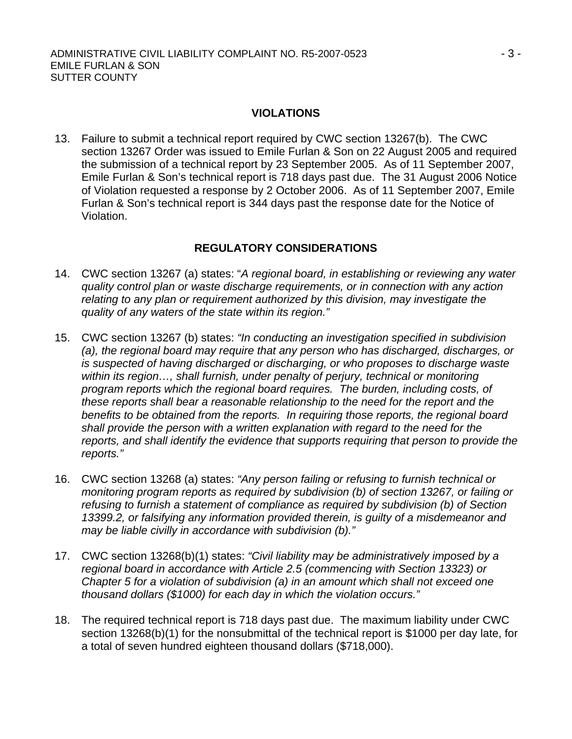#### **VIOLATIONS**

13. Failure to submit a technical report required by CWC section 13267(b). The CWC section 13267 Order was issued to Emile Furlan & Son on 22 August 2005 and required the submission of a technical report by 23 September 2005. As of 11 September 2007, Emile Furlan & Son's technical report is 718 days past due. The 31 August 2006 Notice of Violation requested a response by 2 October 2006. As of 11 September 2007, Emile Furlan & Son's technical report is 344 days past the response date for the Notice of Violation.

# **REGULATORY CONSIDERATIONS**

- 14. CWC section 13267 (a) states: "*A regional board, in establishing or reviewing any water quality control plan or waste discharge requirements, or in connection with any action relating to any plan or requirement authorized by this division, may investigate the quality of any waters of the state within its region."*
- 15. CWC section 13267 (b) states: *"In conducting an investigation specified in subdivision (a), the regional board may require that any person who has discharged, discharges, or is suspected of having discharged or discharging, or who proposes to discharge waste*  within its region..., shall furnish, under penalty of perjury, technical or monitoring *program reports which the regional board requires. The burden, including costs, of these reports shall bear a reasonable relationship to the need for the report and the benefits to be obtained from the reports. In requiring those reports, the regional board shall provide the person with a written explanation with regard to the need for the reports, and shall identify the evidence that supports requiring that person to provide the reports."*
- 16. CWC section 13268 (a) states: *"Any person failing or refusing to furnish technical or monitoring program reports as required by subdivision (b) of section 13267, or failing or refusing to furnish a statement of compliance as required by subdivision (b) of Section 13399.2, or falsifying any information provided therein, is guilty of a misdemeanor and may be liable civilly in accordance with subdivision (b)."*
- 17. CWC section 13268(b)(1) states: *"Civil liability may be administratively imposed by a regional board in accordance with Article 2.5 (commencing with Section 13323) or Chapter 5 for a violation of subdivision (a) in an amount which shall not exceed one thousand dollars (\$1000) for each day in which the violation occurs."*
- 18. The required technical report is 718 days past due. The maximum liability under CWC section 13268(b)(1) for the nonsubmittal of the technical report is \$1000 per day late, for a total of seven hundred eighteen thousand dollars (\$718,000).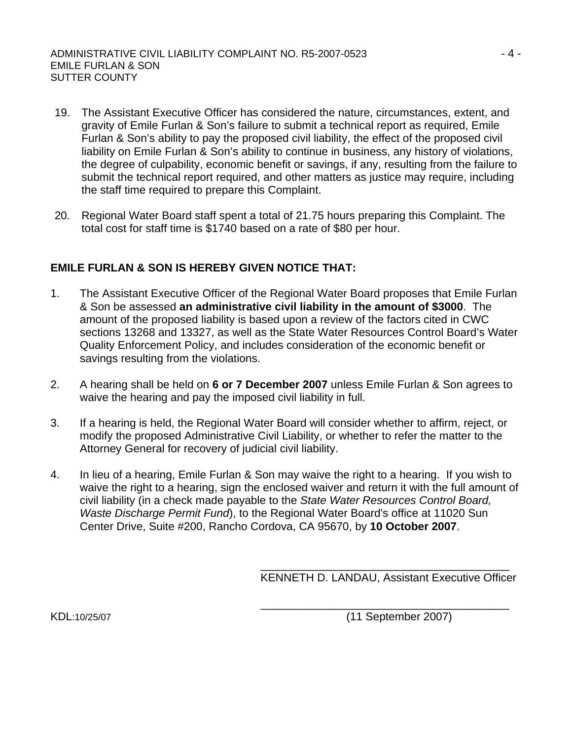- 19. The Assistant Executive Officer has considered the nature, circumstances, extent, and gravity of Emile Furlan & Son's failure to submit a technical report as required, Emile Furlan & Son's ability to pay the proposed civil liability, the effect of the proposed civil liability on Emile Furlan & Son's ability to continue in business, any history of violations, the degree of culpability, economic benefit or savings, if any, resulting from the failure to submit the technical report required, and other matters as justice may require, including the staff time required to prepare this Complaint.
- 20. Regional Water Board staff spent a total of 21.75 hours preparing this Complaint. The total cost for staff time is \$1740 based on a rate of \$80 per hour.

# **EMILE FURLAN & SON IS HEREBY GIVEN NOTICE THAT:**

- 1. The Assistant Executive Officer of the Regional Water Board proposes that Emile Furlan & Son be assessed **an administrative civil liability in the amount of \$3000**. The amount of the proposed liability is based upon a review of the factors cited in CWC sections 13268 and 13327, as well as the State Water Resources Control Board's Water Quality Enforcement Policy, and includes consideration of the economic benefit or savings resulting from the violations.
- 2. A hearing shall be held on **6 or 7 December 2007** unless Emile Furlan & Son agrees to waive the hearing and pay the imposed civil liability in full.
- 3. If a hearing is held, the Regional Water Board will consider whether to affirm, reject, or modify the proposed Administrative Civil Liability, or whether to refer the matter to the Attorney General for recovery of judicial civil liability.
- 4. In lieu of a hearing, Emile Furlan & Son may waive the right to a hearing. If you wish to waive the right to a hearing, sign the enclosed waiver and return it with the full amount of civil liability (in a check made payable to the *State Water Resources Control Board, Waste Discharge Permit Fund*), to the Regional Water Board's office at 11020 Sun Center Drive, Suite #200, Rancho Cordova, CA 95670, by **10 October 2007**.

 $\overline{\phantom{a}}$  , and the contract of the contract of the contract of the contract of the contract of the contract of the contract of the contract of the contract of the contract of the contract of the contract of the contrac

KENNETH D. LANDAU, Assistant Executive Officer

 $\overline{\phantom{a}}$  , and the contract of the contract of the contract of the contract of the contract of the contract of the contract of the contract of the contract of the contract of the contract of the contract of the contrac KDL:10/25/07 (11 September 2007)